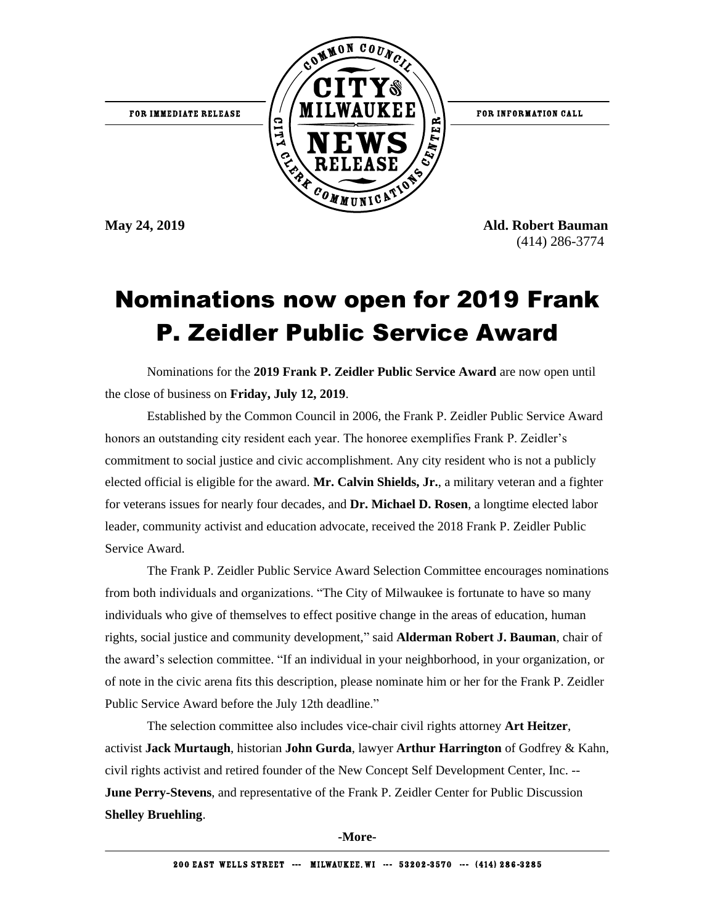

**May 24, 2019 Ald. Robert Bauman** (414) 286-3774

## Nominations now open for 2019 Frank P. Zeidler Public Service Award

Nominations for the **2019 Frank P. Zeidler Public Service Award** are now open until the close of business on **Friday, July 12, 2019**.

Established by the Common Council in 2006, the Frank P. Zeidler Public Service Award honors an outstanding city resident each year. The honoree exemplifies Frank P. Zeidler's commitment to social justice and civic accomplishment. Any city resident who is not a publicly elected official is eligible for the award. **Mr. Calvin Shields, Jr.**, a military veteran and a fighter for veterans issues for nearly four decades, and **Dr. Michael D. Rosen**, a longtime elected labor leader, community activist and education advocate, received the 2018 Frank P. Zeidler Public Service Award.

The Frank P. Zeidler Public Service Award Selection Committee encourages nominations from both individuals and organizations. "The City of Milwaukee is fortunate to have so many individuals who give of themselves to effect positive change in the areas of education, human rights, social justice and community development," said **Alderman Robert J. Bauman**, chair of the award's selection committee. "If an individual in your neighborhood, in your organization, or of note in the civic arena fits this description, please nominate him or her for the Frank P. Zeidler Public Service Award before the July 12th deadline."

The selection committee also includes vice-chair civil rights attorney **Art Heitzer**, activist **Jack Murtaugh**, historian **John Gurda**, lawyer **Arthur Harrington** of Godfrey & Kahn, civil rights activist and retired founder of the New Concept Self Development Center, Inc. -- **June Perry-Stevens**, and representative of the Frank P. Zeidler Center for Public Discussion **Shelley Bruehling**.

**-More-**